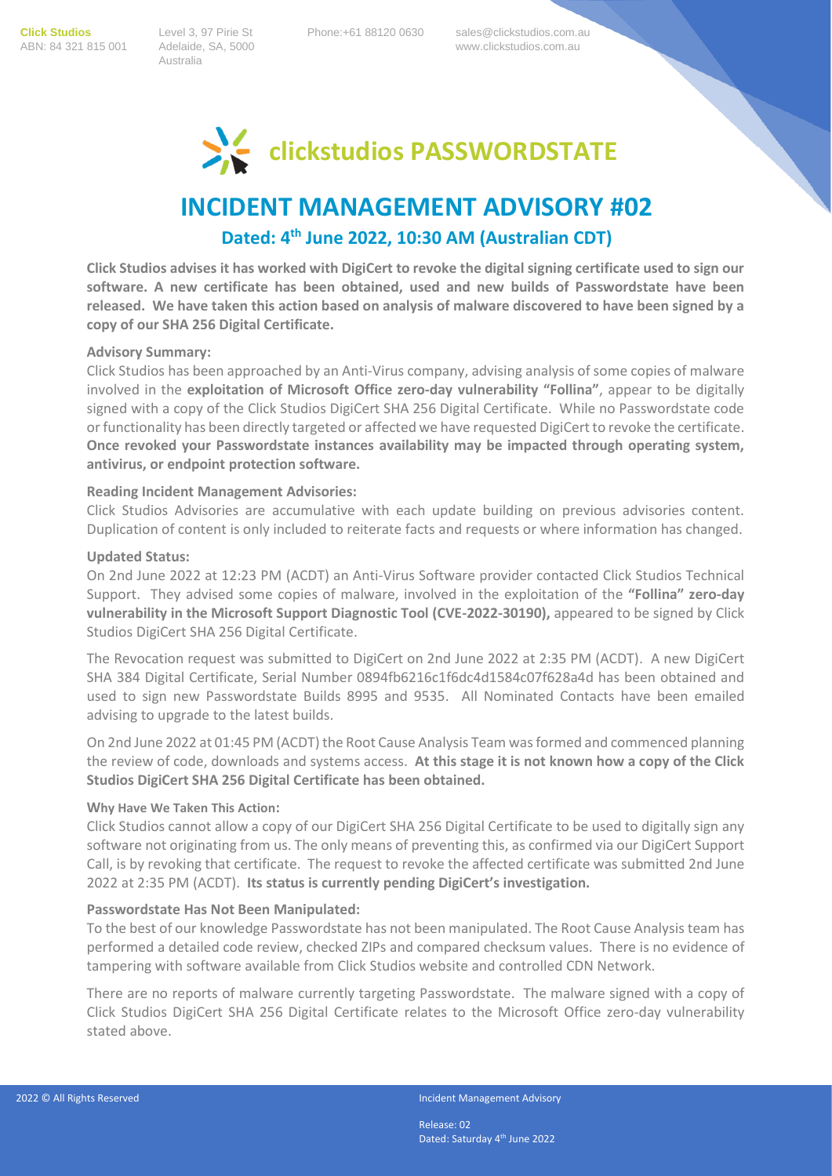**Click Studios** Level 3, 97 Pirie St Phone:+61 88120 0630 sales@clickstudios.com.au

Australia

ABN: 84 321 815 001 Adelaide, SA, 5000 www.clickstudios.com.au



# **INCIDENT MANAGEMENT ADVISORY #02**

## **Dated: 4 th June 2022, 10:30 AM (Australian CDT)**

**Click Studios advises it has worked with DigiCert to revoke the digital signing certificate used to sign our software. A new certificate has been obtained, used and new builds of Passwordstate have been released. We have taken this action based on analysis of malware discovered to have been signed by a copy of our SHA 256 Digital Certificate.** 

#### **Advisory Summary:**

Click Studios has been approached by an Anti-Virus company, advising analysis of some copies of malware involved in the **exploitation of Microsoft Office zero-day vulnerability "Follina"**, appear to be digitally signed with a copy of the Click Studios DigiCert SHA 256 Digital Certificate. While no Passwordstate code or functionality has been directly targeted or affected we have requested DigiCert to revoke the certificate. **Once revoked your Passwordstate instances availability may be impacted through operating system, antivirus, or endpoint protection software.**

#### **Reading Incident Management Advisories:**

Click Studios Advisories are accumulative with each update building on previous advisories content. Duplication of content is only included to reiterate facts and requests or where information has changed.

#### **Updated Status:**

On 2nd June 2022 at 12:23 PM (ACDT) an Anti-Virus Software provider contacted Click Studios Technical Support. They advised some copies of malware, involved in the exploitation of the **"Follina" zero-day vulnerability in the Microsoft Support Diagnostic Tool (CVE-2022-30190),** appeared to be signed by Click Studios DigiCert SHA 256 Digital Certificate.

The Revocation request was submitted to DigiCert on 2nd June 2022 at 2:35 PM (ACDT). A new DigiCert SHA 384 Digital Certificate, Serial Number 0894fb6216c1f6dc4d1584c07f628a4d has been obtained and used to sign new Passwordstate Builds 8995 and 9535. All Nominated Contacts have been emailed advising to upgrade to the latest builds.

On 2nd June 2022 at 01:45 PM (ACDT) the Root Cause Analysis Team was formed and commenced planning the review of code, downloads and systems access. **At this stage it is not known how a copy of the Click Studios DigiCert SHA 256 Digital Certificate has been obtained.**

#### **Why Have We Taken This Action:**

Click Studios cannot allow a copy of our DigiCert SHA 256 Digital Certificate to be used to digitally sign any software not originating from us. The only means of preventing this, as confirmed via our DigiCert Support Call, is by revoking that certificate. The request to revoke the affected certificate was submitted 2nd June 2022 at 2:35 PM (ACDT). **Its status is currently pending DigiCert's investigation.**

#### **Passwordstate Has Not Been Manipulated:**

To the best of our knowledge Passwordstate has not been manipulated. The Root Cause Analysis team has performed a detailed code review, checked ZIPs and compared checksum values. There is no evidence of tampering with software available from Click Studios website and controlled CDN Network.

There are no reports of malware currently targeting Passwordstate. The malware signed with a copy of Click Studios DigiCert SHA 256 Digital Certificate relates to the Microsoft Office zero-day vulnerability stated above.